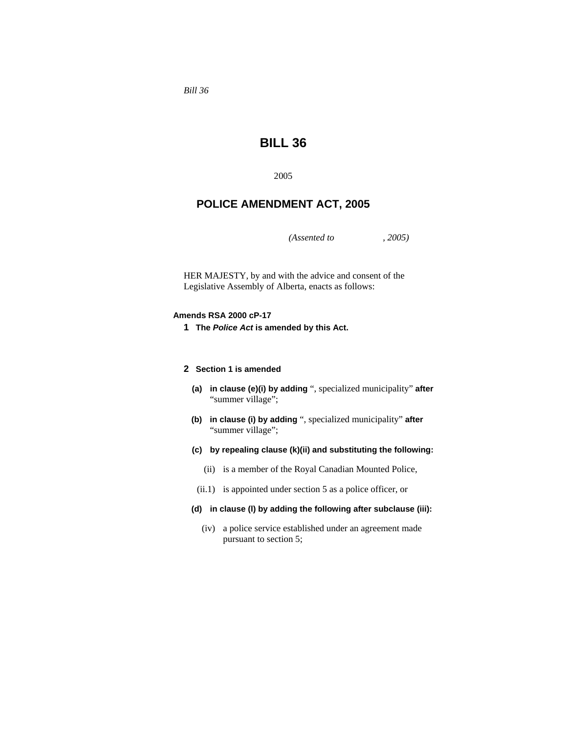*Bill 36* 

# **BILL 36**

2005

## **POLICE AMENDMENT ACT, 2005**

*(Assented to , 2005)* 

HER MAJESTY, by and with the advice and consent of the Legislative Assembly of Alberta, enacts as follows:

## **Amends RSA 2000 cP-17**

**1 The** *Police Act* **is amended by this Act.**

#### **2 Section 1 is amended**

- **(a) in clause (e)(i) by adding** ", specialized municipality" **after**  "summer village";
- **(b) in clause (i) by adding** ", specialized municipality" **after**  "summer village";
- **(c) by repealing clause (k)(ii) and substituting the following:**
	- (ii) is a member of the Royal Canadian Mounted Police,
- (ii.1) is appointed under section 5 as a police officer, or

## **(d) in clause (l) by adding the following after subclause (iii):**

 (iv) a police service established under an agreement made pursuant to section 5;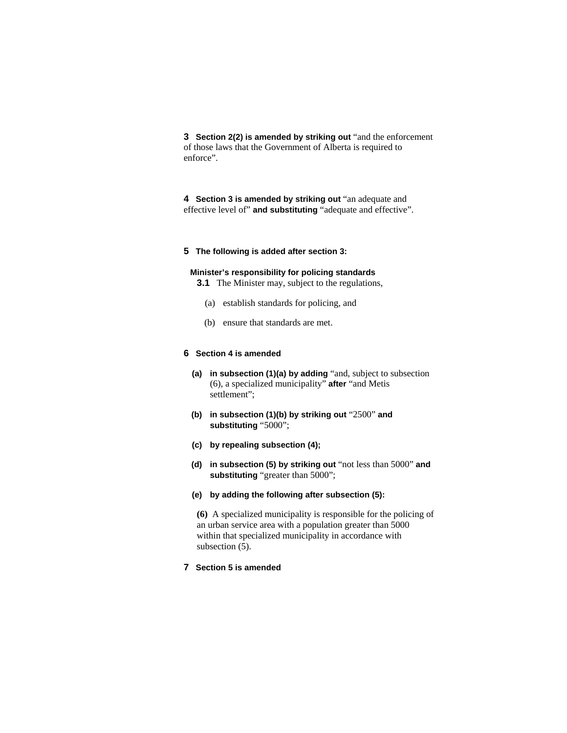**3 Section 2(2) is amended by striking out** "and the enforcement of those laws that the Government of Alberta is required to enforce".

**4 Section 3 is amended by striking out** "an adequate and effective level of" **and substituting** "adequate and effective".

## **5 The following is added after section 3:**

## **Minister's responsibility for policing standards**

**3.1** The Minister may, subject to the regulations,

- (a) establish standards for policing, and
- (b) ensure that standards are met.

## **6 Section 4 is amended**

- **(a) in subsection (1)(a) by adding** "and, subject to subsection (6), a specialized municipality" **after** "and Metis settlement";
- **(b) in subsection (1)(b) by striking out** "2500" **and substituting** "5000";
- **(c) by repealing subsection (4);**
- **(d) in subsection (5) by striking out** "not less than 5000" **and substituting** "greater than 5000";

## **(e) by adding the following after subsection (5):**

**(6)** A specialized municipality is responsible for the policing of an urban service area with a population greater than 5000 within that specialized municipality in accordance with subsection (5).

## **7 Section 5 is amended**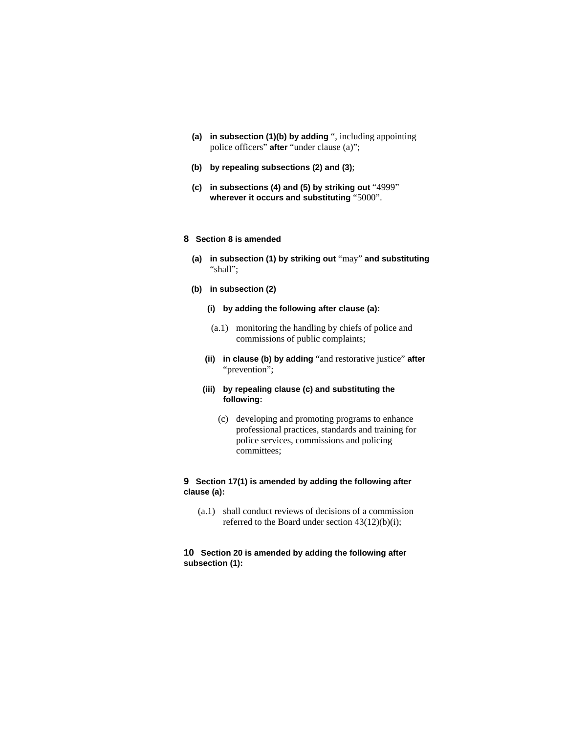- **(a) in subsection (1)(b) by adding** ", including appointing police officers" **after** "under clause (a)";
- **(b) by repealing subsections (2) and (3)**;
- **(c) in subsections (4) and (5) by striking out** "4999" **wherever it occurs and substituting** "5000".

## **8 Section 8 is amended**

- **(a) in subsection (1) by striking out** "may" **and substituting**  "shall";
- **(b) in subsection (2)**
	- **(i) by adding the following after clause (a):**
	- (a.1) monitoring the handling by chiefs of police and commissions of public complaints;
	- **(ii) in clause (b) by adding** "and restorative justice" **after**  "prevention";
	- **(iii) by repealing clause (c) and substituting the following:**
		- (c) developing and promoting programs to enhance professional practices, standards and training for police services, commissions and policing committees;

## **9 Section 17(1) is amended by adding the following after clause (a):**

 (a.1) shall conduct reviews of decisions of a commission referred to the Board under section 43(12)(b)(i);

## **10 Section 20 is amended by adding the following after subsection (1):**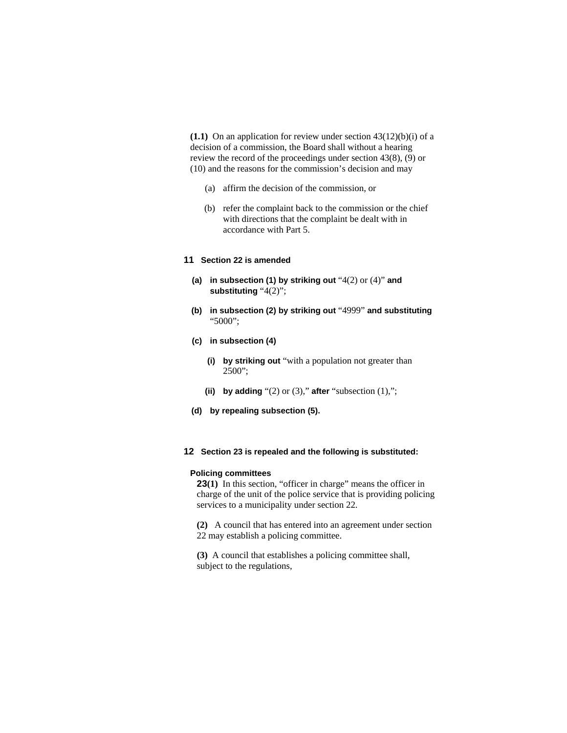**(1.1)** On an application for review under section  $43(12)(b)(i)$  of a decision of a commission, the Board shall without a hearing review the record of the proceedings under section 43(8), (9) or (10) and the reasons for the commission's decision and may

- (a) affirm the decision of the commission, or
- (b) refer the complaint back to the commission or the chief with directions that the complaint be dealt with in accordance with Part 5.

## **11 Section 22 is amended**

- **(a) in subsection (1) by striking out** "4(2) or (4)" **and substituting** "4(2)";
- **(b) in subsection (2) by striking out** "4999" **and substituting**  "5000";
- **(c) in subsection (4)**
	- **(i) by striking out** "with a population not greater than 2500";
	- (ii) by adding  $(2)$  or  $(3)$ ," after  $(3)$  subsection  $(1)$ ,";
- **(d) by repealing subsection (5).**

#### **12 Section 23 is repealed and the following is substituted:**

## **Policing committees**

**23(1)** In this section, "officer in charge" means the officer in charge of the unit of the police service that is providing policing services to a municipality under section 22.

**(2)** A council that has entered into an agreement under section 22 may establish a policing committee.

**(3)** A council that establishes a policing committee shall, subject to the regulations,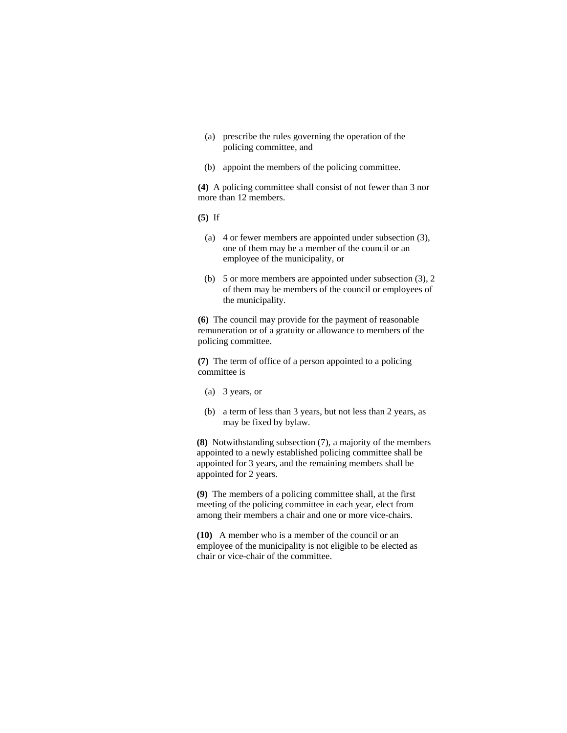- (a) prescribe the rules governing the operation of the policing committee, and
- (b) appoint the members of the policing committee.

**(4)** A policing committee shall consist of not fewer than 3 nor more than 12 members.

**(5)** If

- (a) 4 or fewer members are appointed under subsection (3), one of them may be a member of the council or an employee of the municipality, or
- (b) 5 or more members are appointed under subsection (3), 2 of them may be members of the council or employees of the municipality.

**(6)** The council may provide for the payment of reasonable remuneration or of a gratuity or allowance to members of the policing committee.

**(7)** The term of office of a person appointed to a policing committee is

- (a) 3 years, or
- (b) a term of less than 3 years, but not less than 2 years, as may be fixed by bylaw.

**(8)** Notwithstanding subsection (7), a majority of the members appointed to a newly established policing committee shall be appointed for 3 years, and the remaining members shall be appointed for 2 years.

**(9)** The members of a policing committee shall, at the first meeting of the policing committee in each year, elect from among their members a chair and one or more vice-chairs.

**(10)** A member who is a member of the council or an employee of the municipality is not eligible to be elected as chair or vice-chair of the committee.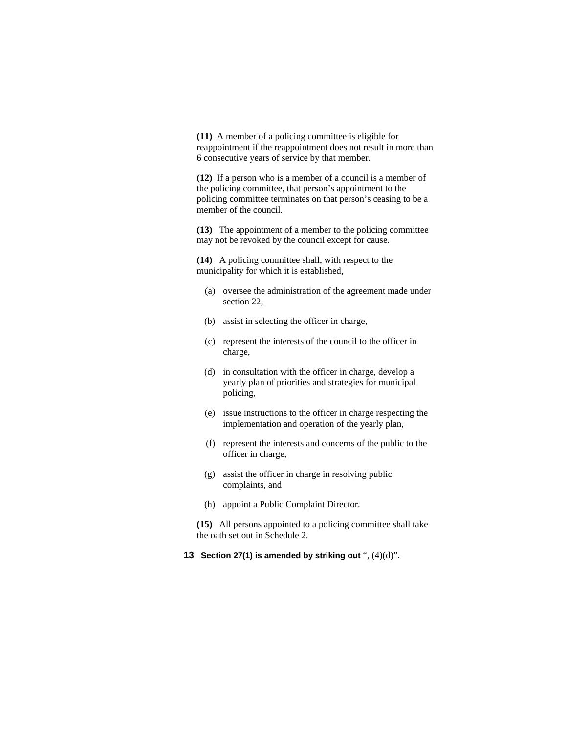**(11)** A member of a policing committee is eligible for reappointment if the reappointment does not result in more than 6 consecutive years of service by that member.

**(12)** If a person who is a member of a council is a member of the policing committee, that person's appointment to the policing committee terminates on that person's ceasing to be a member of the council.

**(13)** The appointment of a member to the policing committee may not be revoked by the council except for cause.

**(14)** A policing committee shall, with respect to the municipality for which it is established,

- (a) oversee the administration of the agreement made under section 22,
- (b) assist in selecting the officer in charge,
- (c) represent the interests of the council to the officer in charge,
- (d) in consultation with the officer in charge, develop a yearly plan of priorities and strategies for municipal policing,
- (e) issue instructions to the officer in charge respecting the implementation and operation of the yearly plan,
- (f) represent the interests and concerns of the public to the officer in charge,
- (g) assist the officer in charge in resolving public complaints, and
- (h) appoint a Public Complaint Director.

**(15)** All persons appointed to a policing committee shall take the oath set out in Schedule 2.

**13 Section 27(1) is amended by striking out** ", (4)(d)"**.**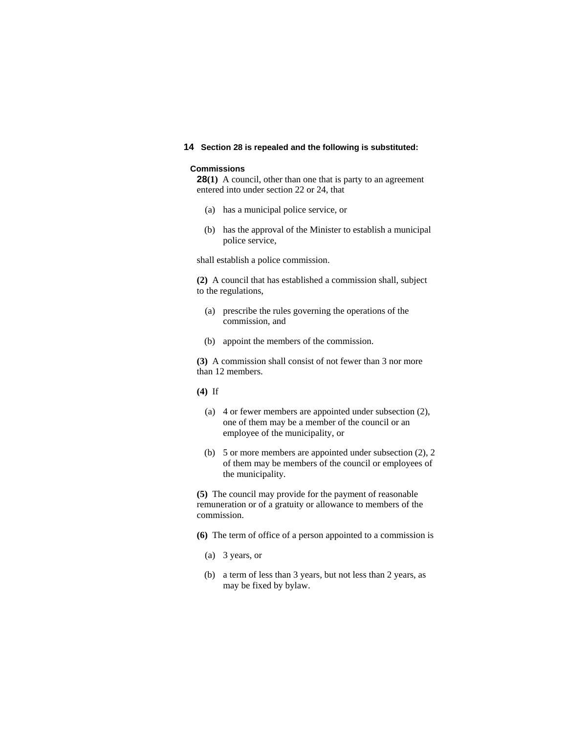## **14 Section 28 is repealed and the following is substituted:**

#### **Commissions**

**28(1)** A council, other than one that is party to an agreement entered into under section 22 or 24, that

- (a) has a municipal police service, or
- (b) has the approval of the Minister to establish a municipal police service,

shall establish a police commission.

**(2)** A council that has established a commission shall, subject to the regulations,

- (a) prescribe the rules governing the operations of the commission, and
- (b) appoint the members of the commission.

**(3)** A commission shall consist of not fewer than 3 nor more than 12 members.

**(4)** If

- (a) 4 or fewer members are appointed under subsection (2), one of them may be a member of the council or an employee of the municipality, or
- (b) 5 or more members are appointed under subsection (2), 2 of them may be members of the council or employees of the municipality.

**(5)** The council may provide for the payment of reasonable remuneration or of a gratuity or allowance to members of the commission.

**(6)** The term of office of a person appointed to a commission is

- (a) 3 years, or
- (b) a term of less than 3 years, but not less than 2 years, as may be fixed by bylaw.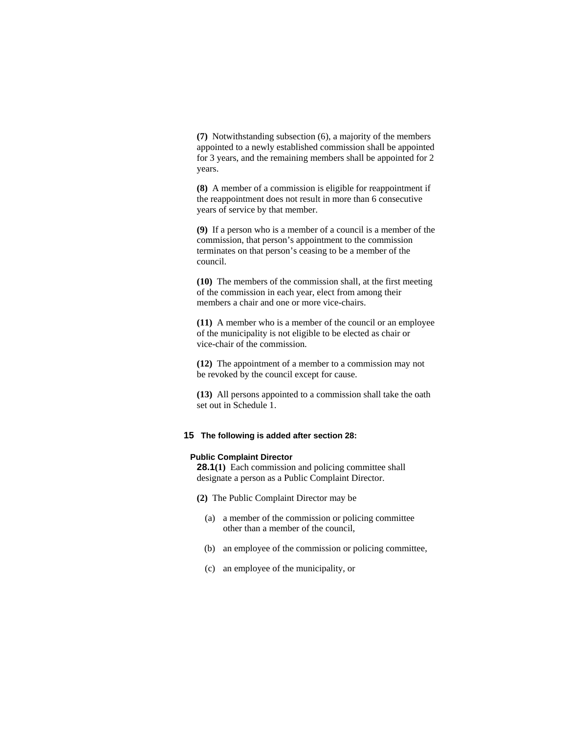**(7)** Notwithstanding subsection (6), a majority of the members appointed to a newly established commission shall be appointed for 3 years, and the remaining members shall be appointed for 2 years.

**(8)** A member of a commission is eligible for reappointment if the reappointment does not result in more than 6 consecutive years of service by that member.

**(9)** If a person who is a member of a council is a member of the commission, that person's appointment to the commission terminates on that person's ceasing to be a member of the council.

**(10)** The members of the commission shall, at the first meeting of the commission in each year, elect from among their members a chair and one or more vice-chairs.

**(11)** A member who is a member of the council or an employee of the municipality is not eligible to be elected as chair or vice-chair of the commission.

**(12)** The appointment of a member to a commission may not be revoked by the council except for cause.

**(13)** All persons appointed to a commission shall take the oath set out in Schedule 1.

## **15 The following is added after section 28:**

#### **Public Complaint Director**

**28.1(1)** Each commission and policing committee shall designate a person as a Public Complaint Director.

- **(2)** The Public Complaint Director may be
	- (a) a member of the commission or policing committee other than a member of the council,
	- (b) an employee of the commission or policing committee,
	- (c) an employee of the municipality, or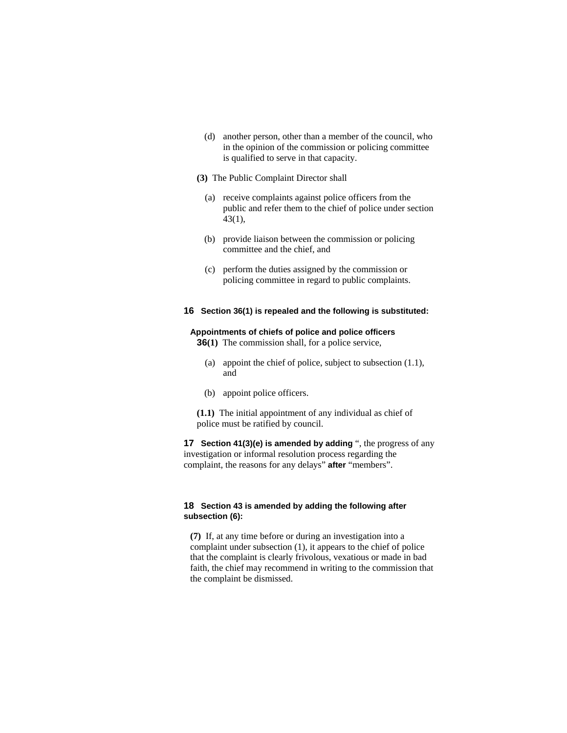- (d) another person, other than a member of the council, who in the opinion of the commission or policing committee is qualified to serve in that capacity.
- **(3)** The Public Complaint Director shall
	- (a) receive complaints against police officers from the public and refer them to the chief of police under section 43(1),
	- (b) provide liaison between the commission or policing committee and the chief, and
	- (c) perform the duties assigned by the commission or policing committee in regard to public complaints.

## **16 Section 36(1) is repealed and the following is substituted:**

#### **Appointments of chiefs of police and police officers**

**36(1)** The commission shall, for a police service,

- (a) appoint the chief of police, subject to subsection (1.1), and
- (b) appoint police officers.

**(1.1)** The initial appointment of any individual as chief of police must be ratified by council.

**17 Section 41(3)(e) is amended by adding** ", the progress of any investigation or informal resolution process regarding the complaint, the reasons for any delays" **after** "members".

#### **18 Section 43 is amended by adding the following after subsection (6):**

**(7)** If, at any time before or during an investigation into a complaint under subsection (1), it appears to the chief of police that the complaint is clearly frivolous, vexatious or made in bad faith, the chief may recommend in writing to the commission that the complaint be dismissed.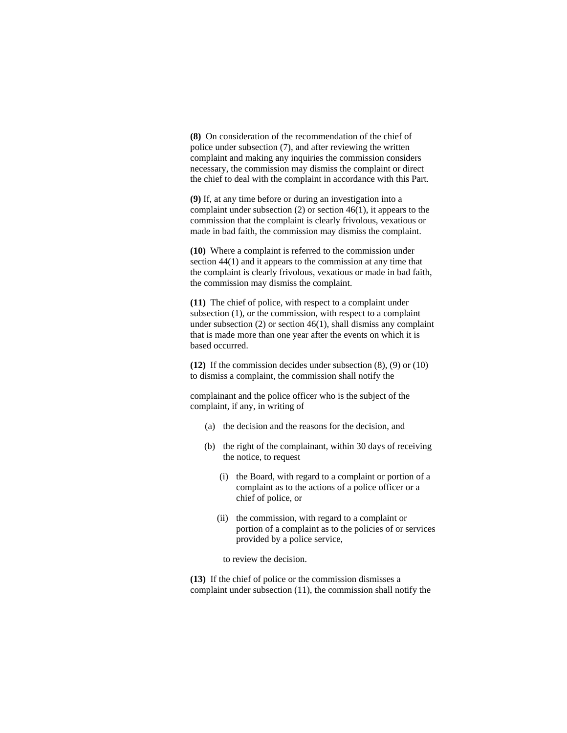**(8)** On consideration of the recommendation of the chief of police under subsection (7), and after reviewing the written complaint and making any inquiries the commission considers necessary, the commission may dismiss the complaint or direct the chief to deal with the complaint in accordance with this Part.

**(9)** If, at any time before or during an investigation into a complaint under subsection (2) or section 46(1), it appears to the commission that the complaint is clearly frivolous, vexatious or made in bad faith, the commission may dismiss the complaint.

**(10)** Where a complaint is referred to the commission under section 44(1) and it appears to the commission at any time that the complaint is clearly frivolous, vexatious or made in bad faith, the commission may dismiss the complaint.

**(11)** The chief of police, with respect to a complaint under subsection (1), or the commission, with respect to a complaint under subsection (2) or section 46(1), shall dismiss any complaint that is made more than one year after the events on which it is based occurred.

**(12)** If the commission decides under subsection (8), (9) or (10) to dismiss a complaint, the commission shall notify the

complainant and the police officer who is the subject of the complaint, if any, in writing of

- (a) the decision and the reasons for the decision, and
- (b) the right of the complainant, within 30 days of receiving the notice, to request
	- (i) the Board, with regard to a complaint or portion of a complaint as to the actions of a police officer or a chief of police, or
	- (ii) the commission, with regard to a complaint or portion of a complaint as to the policies of or services provided by a police service,

to review the decision.

**(13)** If the chief of police or the commission dismisses a complaint under subsection (11), the commission shall notify the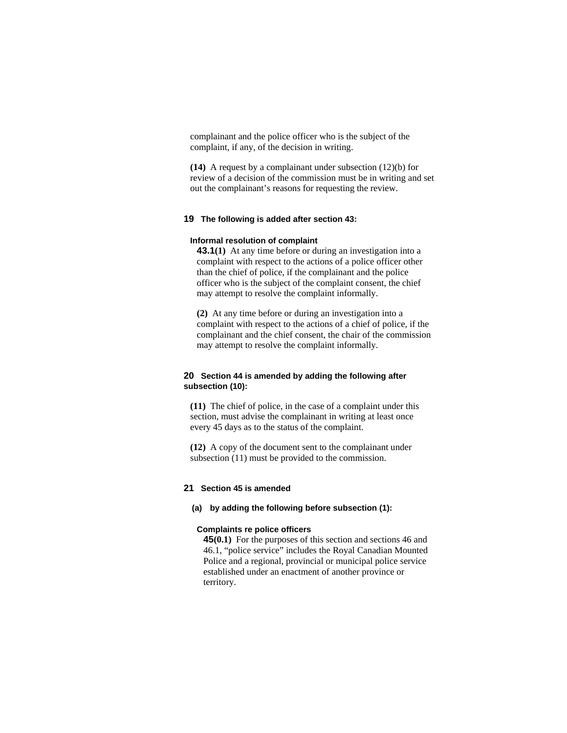complainant and the police officer who is the subject of the complaint, if any, of the decision in writing.

**(14)** A request by a complainant under subsection (12)(b) for review of a decision of the commission must be in writing and set out the complainant's reasons for requesting the review.

## **19 The following is added after section 43:**

### **Informal resolution of complaint**

**43.1(1)** At any time before or during an investigation into a complaint with respect to the actions of a police officer other than the chief of police, if the complainant and the police officer who is the subject of the complaint consent, the chief may attempt to resolve the complaint informally.

**(2)** At any time before or during an investigation into a complaint with respect to the actions of a chief of police, if the complainant and the chief consent, the chair of the commission may attempt to resolve the complaint informally.

## **20 Section 44 is amended by adding the following after subsection (10):**

**(11)** The chief of police, in the case of a complaint under this section, must advise the complainant in writing at least once every 45 days as to the status of the complaint.

**(12)** A copy of the document sent to the complainant under subsection (11) must be provided to the commission.

#### **21 Section 45 is amended**

#### **(a) by adding the following before subsection (1):**

#### **Complaints re police officers**

**45(0.1)** For the purposes of this section and sections 46 and 46.1, "police service" includes the Royal Canadian Mounted Police and a regional, provincial or municipal police service established under an enactment of another province or territory.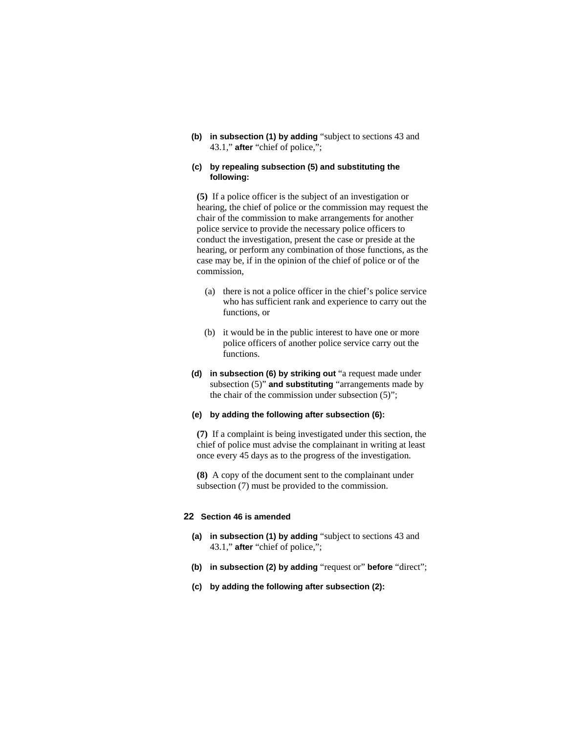**(b) in subsection (1) by adding** "subject to sections 43 and 43.1," **after** "chief of police,";

## **(c) by repealing subsection (5) and substituting the following:**

**(5)** If a police officer is the subject of an investigation or hearing, the chief of police or the commission may request the chair of the commission to make arrangements for another police service to provide the necessary police officers to conduct the investigation, present the case or preside at the hearing, or perform any combination of those functions, as the case may be, if in the opinion of the chief of police or of the commission,

- (a) there is not a police officer in the chief's police service who has sufficient rank and experience to carry out the functions, or
- (b) it would be in the public interest to have one or more police officers of another police service carry out the functions.
- **(d) in subsection (6) by striking out** "a request made under subsection (5)" **and substituting** "arrangements made by the chair of the commission under subsection (5)";

## **(e) by adding the following after subsection (6):**

**(7)** If a complaint is being investigated under this section, the chief of police must advise the complainant in writing at least once every 45 days as to the progress of the investigation.

**(8)** A copy of the document sent to the complainant under subsection (7) must be provided to the commission.

## **22 Section 46 is amended**

- **(a) in subsection (1) by adding** "subject to sections 43 and 43.1," **after** "chief of police,";
- **(b) in subsection (2) by adding** "request or" **before** "direct";
- **(c) by adding the following after subsection (2):**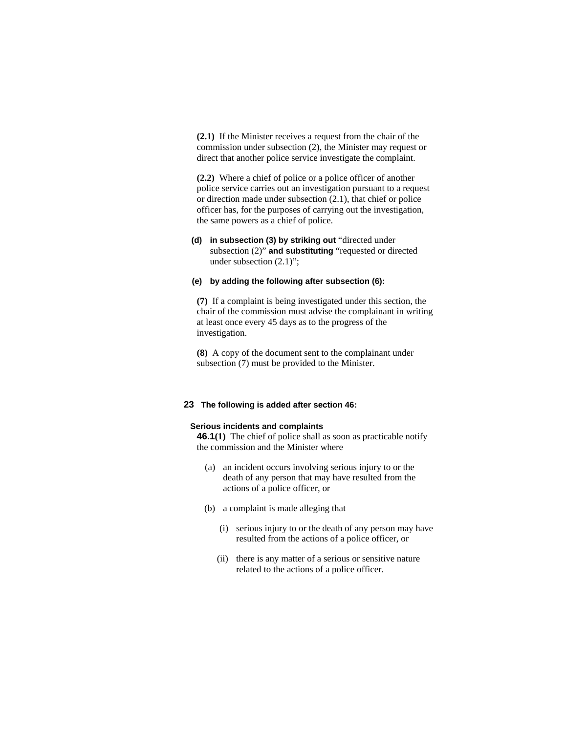**(2.1)** If the Minister receives a request from the chair of the commission under subsection (2), the Minister may request or direct that another police service investigate the complaint.

**(2.2)** Where a chief of police or a police officer of another police service carries out an investigation pursuant to a request or direction made under subsection (2.1), that chief or police officer has, for the purposes of carrying out the investigation, the same powers as a chief of police.

**(d) in subsection (3) by striking out** "directed under subsection (2)" **and substituting** "requested or directed under subsection (2.1)";

## **(e) by adding the following after subsection (6):**

**(7)** If a complaint is being investigated under this section, the chair of the commission must advise the complainant in writing at least once every 45 days as to the progress of the investigation.

**(8)** A copy of the document sent to the complainant under subsection (7) must be provided to the Minister.

#### **23 The following is added after section 46:**

#### **Serious incidents and complaints**

**46.1(1)** The chief of police shall as soon as practicable notify the commission and the Minister where

- (a) an incident occurs involving serious injury to or the death of any person that may have resulted from the actions of a police officer, or
- (b) a complaint is made alleging that
	- (i) serious injury to or the death of any person may have resulted from the actions of a police officer, or
	- (ii) there is any matter of a serious or sensitive nature related to the actions of a police officer.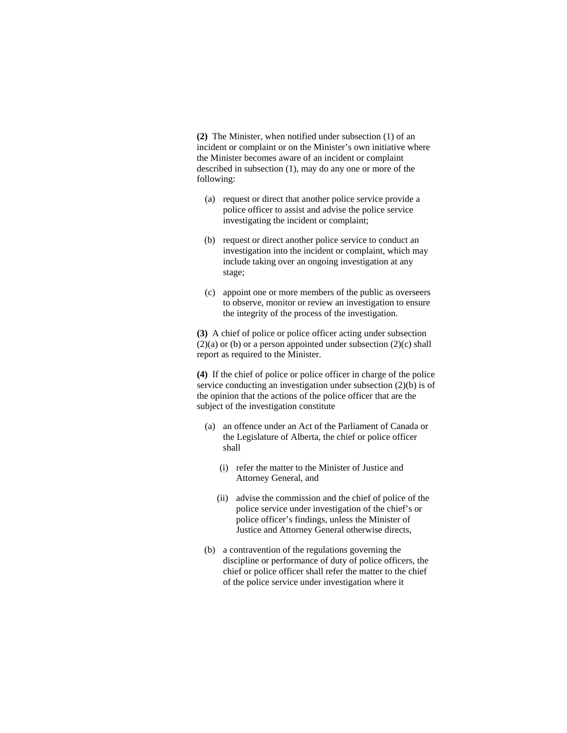**(2)** The Minister, when notified under subsection (1) of an incident or complaint or on the Minister's own initiative where the Minister becomes aware of an incident or complaint described in subsection (1), may do any one or more of the following:

- (a) request or direct that another police service provide a police officer to assist and advise the police service investigating the incident or complaint;
- (b) request or direct another police service to conduct an investigation into the incident or complaint, which may include taking over an ongoing investigation at any stage;
- (c) appoint one or more members of the public as overseers to observe, monitor or review an investigation to ensure the integrity of the process of the investigation.

**(3)** A chief of police or police officer acting under subsection  $(2)(a)$  or (b) or a person appointed under subsection  $(2)(c)$  shall report as required to the Minister.

**(4)** If the chief of police or police officer in charge of the police service conducting an investigation under subsection (2)(b) is of the opinion that the actions of the police officer that are the subject of the investigation constitute

- (a) an offence under an Act of the Parliament of Canada or the Legislature of Alberta, the chief or police officer shall
	- (i) refer the matter to the Minister of Justice and Attorney General, and
	- (ii) advise the commission and the chief of police of the police service under investigation of the chief's or police officer's findings, unless the Minister of Justice and Attorney General otherwise directs,
- (b) a contravention of the regulations governing the discipline or performance of duty of police officers, the chief or police officer shall refer the matter to the chief of the police service under investigation where it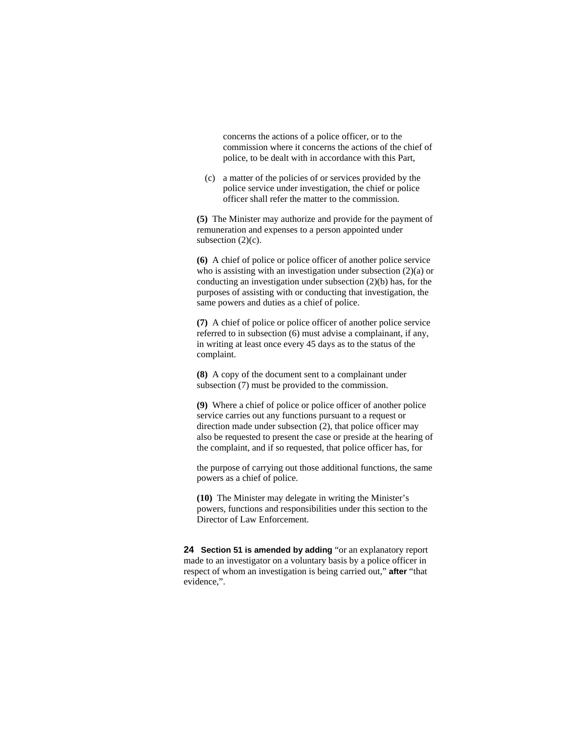concerns the actions of a police officer, or to the commission where it concerns the actions of the chief of police, to be dealt with in accordance with this Part,

 (c) a matter of the policies of or services provided by the police service under investigation, the chief or police officer shall refer the matter to the commission.

**(5)** The Minister may authorize and provide for the payment of remuneration and expenses to a person appointed under subsection  $(2)(c)$ .

**(6)** A chief of police or police officer of another police service who is assisting with an investigation under subsection (2)(a) or conducting an investigation under subsection (2)(b) has, for the purposes of assisting with or conducting that investigation, the same powers and duties as a chief of police.

**(7)** A chief of police or police officer of another police service referred to in subsection (6) must advise a complainant, if any, in writing at least once every 45 days as to the status of the complaint.

**(8)** A copy of the document sent to a complainant under subsection (7) must be provided to the commission.

**(9)** Where a chief of police or police officer of another police service carries out any functions pursuant to a request or direction made under subsection (2), that police officer may also be requested to present the case or preside at the hearing of the complaint, and if so requested, that police officer has, for

the purpose of carrying out those additional functions, the same powers as a chief of police.

**(10)** The Minister may delegate in writing the Minister's powers, functions and responsibilities under this section to the Director of Law Enforcement.

**24 Section 51 is amended by adding** "or an explanatory report made to an investigator on a voluntary basis by a police officer in respect of whom an investigation is being carried out," **after** "that evidence,".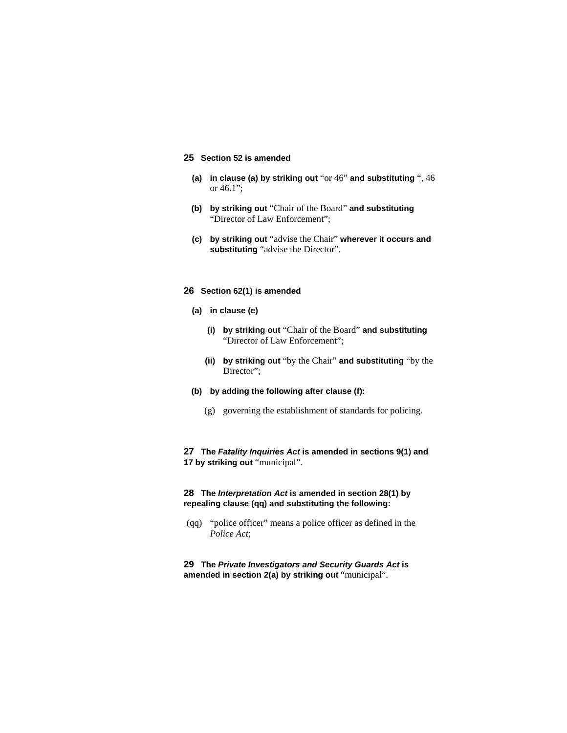## **25 Section 52 is amended**

- **(a) in clause (a) by striking out** "or 46" **and substituting** ", 46 or 46.1";
- **(b) by striking out** "Chair of the Board" **and substituting**  "Director of Law Enforcement";
- **(c) by striking out** "advise the Chair" **wherever it occurs and substituting** "advise the Director".

#### **26 Section 62(1) is amended**

- **(a) in clause (e)**
	- **(i) by striking out** "Chair of the Board" **and substituting**  "Director of Law Enforcement";
	- **(ii) by striking out** "by the Chair" **and substituting** "by the Director";
- **(b) by adding the following after clause (f):**
	- (g) governing the establishment of standards for policing.

## **27 The** *Fatality Inquiries Act* **is amended in sections 9(1) and 17 by striking out** "municipal".

## **28 The** *Interpretation Act* **is amended in section 28(1) by repealing clause (qq) and substituting the following:**

 (qq) "police officer" means a police officer as defined in the *Police Act*;

**29 The** *Private Investigators and Security Guards Act* **is amended in section 2(a) by striking out** "municipal".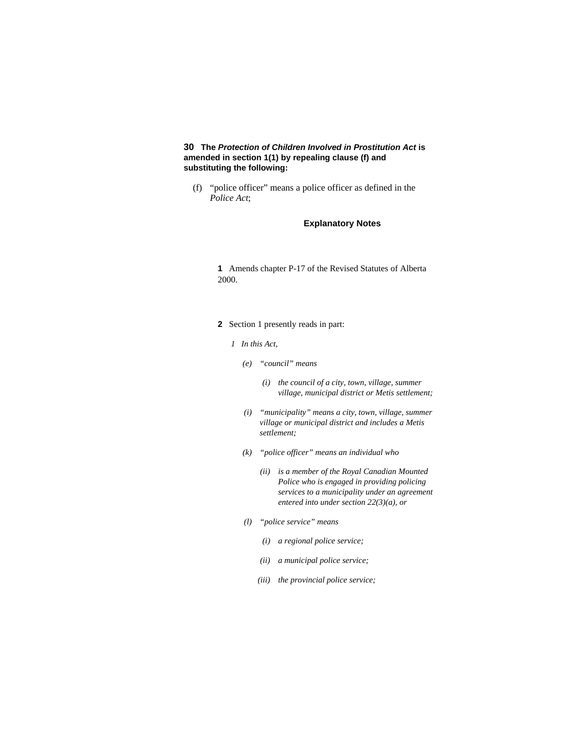## **30 The** *Protection of Children Involved in Prostitution Act* **is amended in section 1(1) by repealing clause (f) and substituting the following:**

 (f) "police officer" means a police officer as defined in the *Police Act*;

## **Explanatory Notes**

**1** Amends chapter P-17 of the Revised Statutes of Alberta 2000.

- **2** Section 1 presently reads in part:
	- *1 In this Act,* 
		- *(e) "council" means* 
			- *(i) the council of a city, town, village, summer village, municipal district or Metis settlement;*
		- *(i) "municipality" means a city, town, village, summer village or municipal district and includes a Metis settlement;*
		- *(k) "police officer" means an individual who* 
			- *(ii) is a member of the Royal Canadian Mounted Police who is engaged in providing policing services to a municipality under an agreement entered into under section 22(3)(a), or*
		- *(l) "police service" means* 
			- *(i) a regional police service;*
			- *(ii) a municipal police service;*
			- *(iii) the provincial police service;*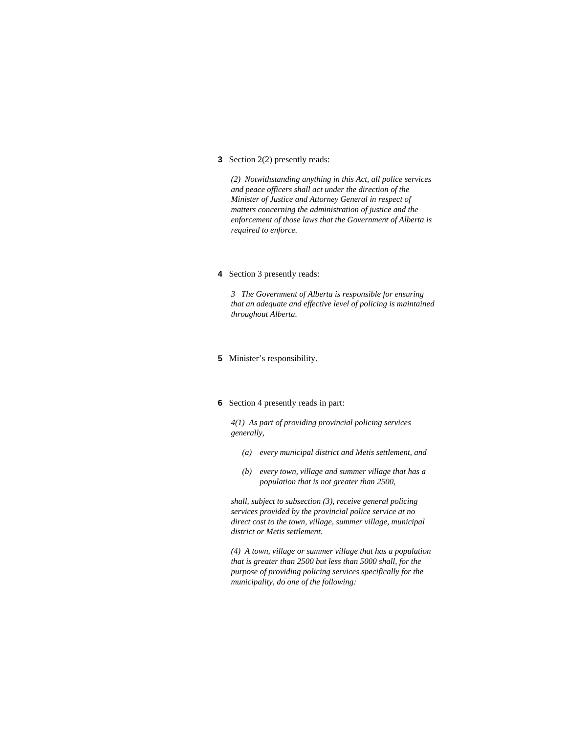**3** Section 2(2) presently reads:

*(2) Notwithstanding anything in this Act, all police services and peace officers shall act under the direction of the Minister of Justice and Attorney General in respect of matters concerning the administration of justice and the enforcement of those laws that the Government of Alberta is required to enforce.* 

**4** Section 3 presently reads:

*3 The Government of Alberta is responsible for ensuring that an adequate and effective level of policing is maintained throughout Alberta.* 

- **5** Minister's responsibility.
- **6** Section 4 presently reads in part:

*4(1) As part of providing provincial policing services generally,* 

- *(a) every municipal district and Metis settlement, and*
- *(b) every town, village and summer village that has a population that is not greater than 2500,*

*shall, subject to subsection (3), receive general policing services provided by the provincial police service at no direct cost to the town, village, summer village, municipal district or Metis settlement.* 

*(4) A town, village or summer village that has a population that is greater than 2500 but less than 5000 shall, for the purpose of providing policing services specifically for the municipality, do one of the following:*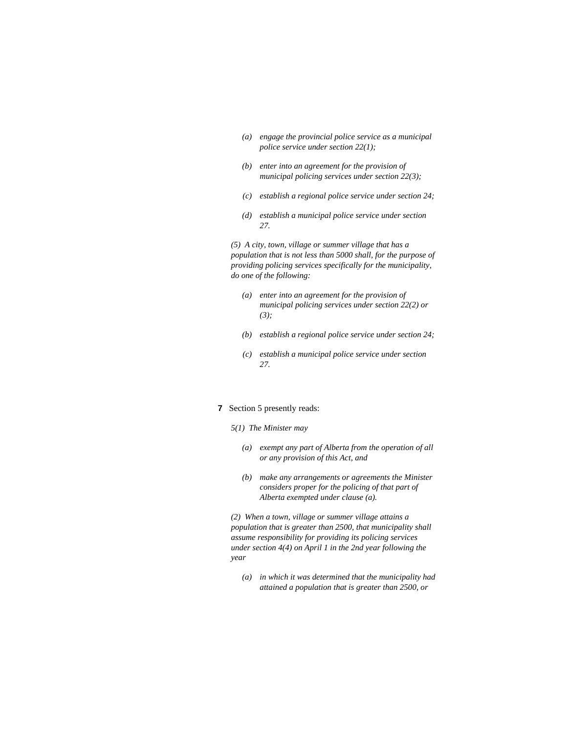- *(a) engage the provincial police service as a municipal police service under section 22(1);*
- *(b) enter into an agreement for the provision of municipal policing services under section 22(3);*
- *(c) establish a regional police service under section 24;*
- *(d) establish a municipal police service under section 27.*

*(5) A city, town, village or summer village that has a population that is not less than 5000 shall, for the purpose of providing policing services specifically for the municipality, do one of the following:* 

- *(a) enter into an agreement for the provision of municipal policing services under section 22(2) or (3);*
- *(b) establish a regional police service under section 24;*
- *(c) establish a municipal police service under section 27.*
- **7** Section 5 presently reads:
	- *5(1) The Minister may* 
		- *(a) exempt any part of Alberta from the operation of all or any provision of this Act, and*
		- *(b) make any arrangements or agreements the Minister considers proper for the policing of that part of Alberta exempted under clause (a).*

*(2) When a town, village or summer village attains a population that is greater than 2500, that municipality shall assume responsibility for providing its policing services under section 4(4) on April 1 in the 2nd year following the year* 

 *(a) in which it was determined that the municipality had attained a population that is greater than 2500, or*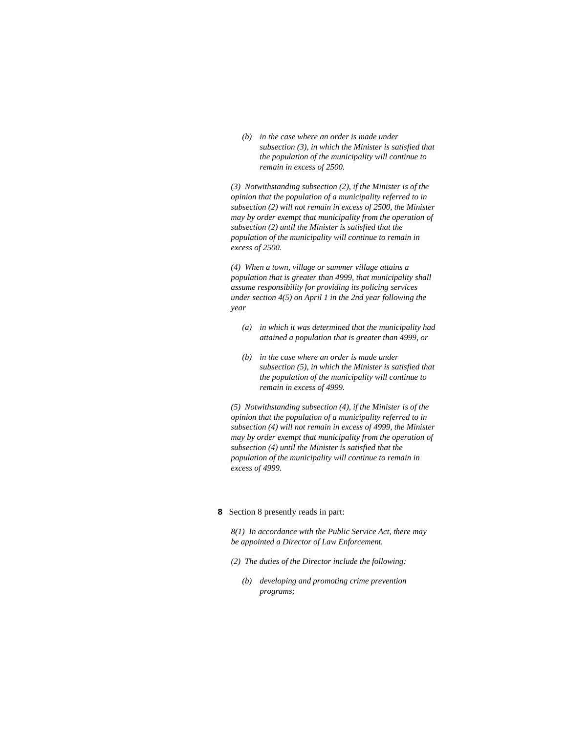*(b) in the case where an order is made under subsection (3), in which the Minister is satisfied that the population of the municipality will continue to remain in excess of 2500.* 

*(3) Notwithstanding subsection (2), if the Minister is of the opinion that the population of a municipality referred to in subsection (2) will not remain in excess of 2500, the Minister may by order exempt that municipality from the operation of subsection (2) until the Minister is satisfied that the population of the municipality will continue to remain in excess of 2500.* 

*(4) When a town, village or summer village attains a population that is greater than 4999, that municipality shall assume responsibility for providing its policing services under section 4(5) on April 1 in the 2nd year following the year* 

- *(a) in which it was determined that the municipality had attained a population that is greater than 4999, or*
- *(b) in the case where an order is made under subsection (5), in which the Minister is satisfied that the population of the municipality will continue to remain in excess of 4999.*

*(5) Notwithstanding subsection (4), if the Minister is of the opinion that the population of a municipality referred to in subsection (4) will not remain in excess of 4999, the Minister may by order exempt that municipality from the operation of subsection (4) until the Minister is satisfied that the population of the municipality will continue to remain in excess of 4999.* 

#### **8** Section 8 presently reads in part:

*8(1) In accordance with the Public Service Act, there may be appointed a Director of Law Enforcement.* 

- *(2) The duties of the Director include the following:* 
	- *(b) developing and promoting crime prevention programs;*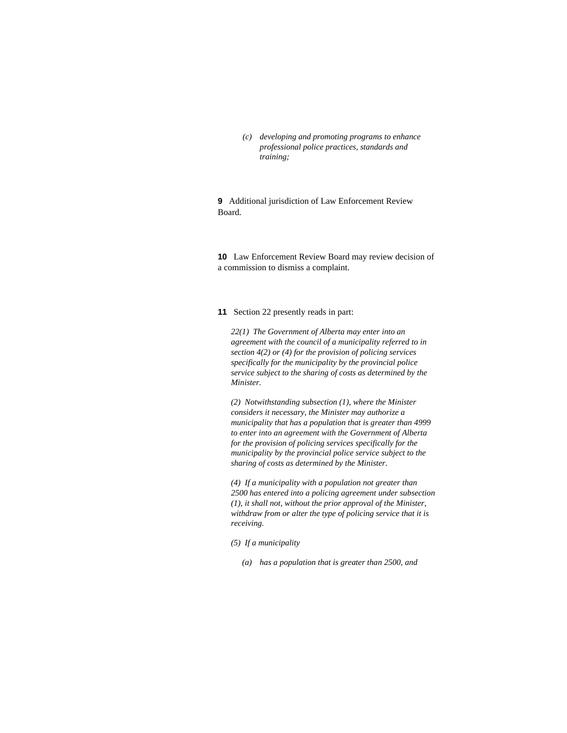*(c) developing and promoting programs to enhance professional police practices, standards and training;* 

**9** Additional jurisdiction of Law Enforcement Review Board.

**10** Law Enforcement Review Board may review decision of a commission to dismiss a complaint.

#### **11** Section 22 presently reads in part:

*22(1) The Government of Alberta may enter into an agreement with the council of a municipality referred to in section 4(2) or (4) for the provision of policing services specifically for the municipality by the provincial police service subject to the sharing of costs as determined by the Minister.* 

*(2) Notwithstanding subsection (1), where the Minister considers it necessary, the Minister may authorize a municipality that has a population that is greater than 4999 to enter into an agreement with the Government of Alberta for the provision of policing services specifically for the municipality by the provincial police service subject to the sharing of costs as determined by the Minister.* 

*(4) If a municipality with a population not greater than 2500 has entered into a policing agreement under subsection (1), it shall not, without the prior approval of the Minister, withdraw from or alter the type of policing service that it is receiving.* 

*(5) If a municipality* 

*(a) has a population that is greater than 2500, and*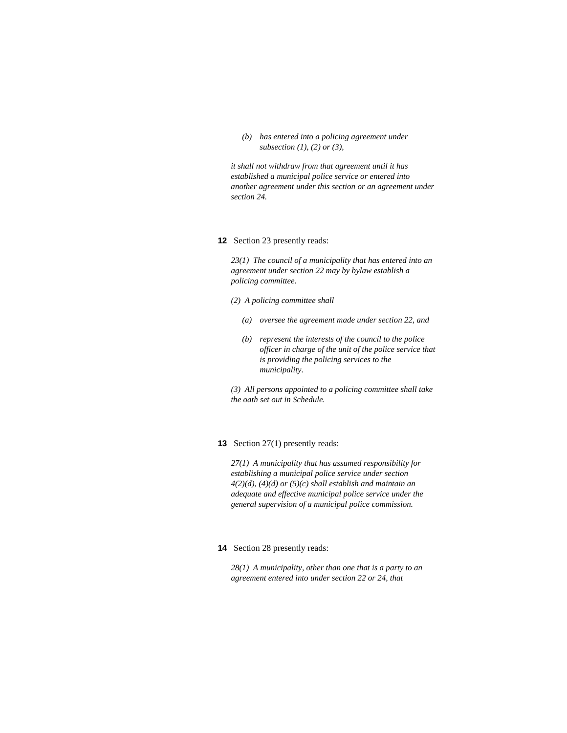*(b) has entered into a policing agreement under subsection (1), (2) or (3),* 

*it shall not withdraw from that agreement until it has established a municipal police service or entered into another agreement under this section or an agreement under section 24.* 

#### **12** Section 23 presently reads:

*23(1) The council of a municipality that has entered into an agreement under section 22 may by bylaw establish a policing committee.* 

- *(2) A policing committee shall* 
	- *(a) oversee the agreement made under section 22, and*
	- *(b) represent the interests of the council to the police officer in charge of the unit of the police service that is providing the policing services to the municipality.*

*(3) All persons appointed to a policing committee shall take the oath set out in Schedule.* 

## **13** Section 27(1) presently reads:

*27(1) A municipality that has assumed responsibility for establishing a municipal police service under section 4(2)(d), (4)(d) or (5)(c) shall establish and maintain an adequate and effective municipal police service under the general supervision of a municipal police commission.* 

#### **14** Section 28 presently reads:

*28(1) A municipality, other than one that is a party to an agreement entered into under section 22 or 24, that*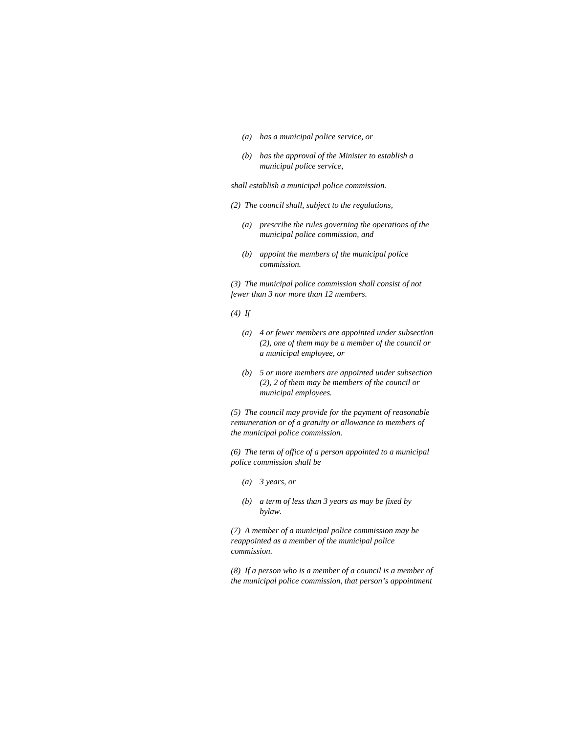- *(a) has a municipal police service, or*
- *(b) has the approval of the Minister to establish a municipal police service,*

*shall establish a municipal police commission.* 

- *(2) The council shall, subject to the regulations,* 
	- *(a) prescribe the rules governing the operations of the municipal police commission, and*
	- *(b) appoint the members of the municipal police commission.*

*(3) The municipal police commission shall consist of not fewer than 3 nor more than 12 members.* 

#### *(4) If*

- *(a) 4 or fewer members are appointed under subsection (2), one of them may be a member of the council or a municipal employee, or*
- *(b) 5 or more members are appointed under subsection (2), 2 of them may be members of the council or municipal employees.*

*(5) The council may provide for the payment of reasonable remuneration or of a gratuity or allowance to members of the municipal police commission.* 

*(6) The term of office of a person appointed to a municipal police commission shall be* 

- *(a) 3 years, or*
- *(b) a term of less than 3 years as may be fixed by bylaw.*

*(7) A member of a municipal police commission may be reappointed as a member of the municipal police commission.* 

*(8) If a person who is a member of a council is a member of the municipal police commission, that person's appointment*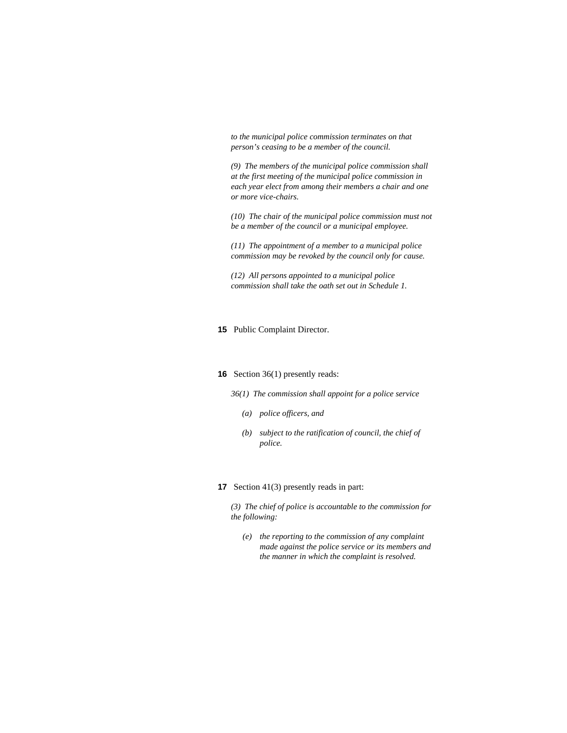*to the municipal police commission terminates on that person's ceasing to be a member of the council.* 

*(9) The members of the municipal police commission shall at the first meeting of the municipal police commission in each year elect from among their members a chair and one or more vice-chairs.* 

*(10) The chair of the municipal police commission must not be a member of the council or a municipal employee.* 

*(11) The appointment of a member to a municipal police commission may be revoked by the council only for cause.* 

*(12) All persons appointed to a municipal police commission shall take the oath set out in Schedule 1.* 

#### **15** Public Complaint Director.

#### **16** Section 36(1) presently reads:

*36(1) The commission shall appoint for a police service* 

- *(a) police officers, and*
- *(b) subject to the ratification of council, the chief of police.*

#### **17** Section 41(3) presently reads in part:

*(3) The chief of police is accountable to the commission for the following:* 

 *(e) the reporting to the commission of any complaint made against the police service or its members and the manner in which the complaint is resolved.*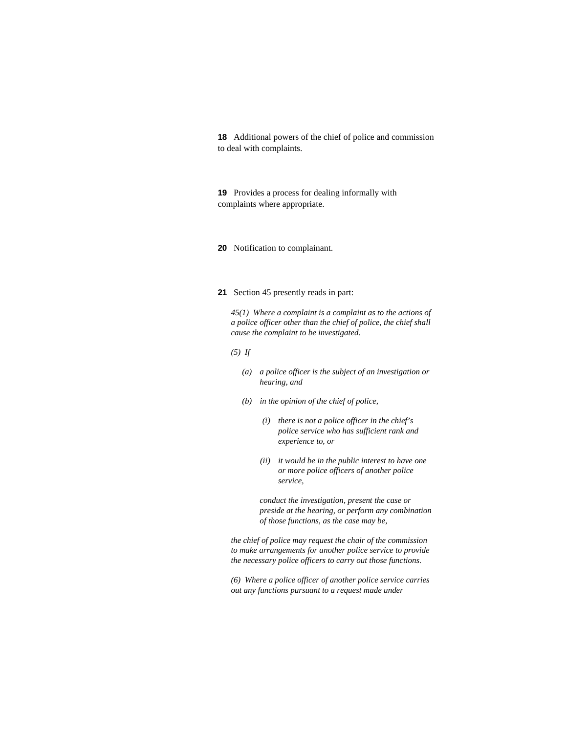**18** Additional powers of the chief of police and commission to deal with complaints.

**19** Provides a process for dealing informally with complaints where appropriate.

**20** Notification to complainant.

#### **21** Section 45 presently reads in part:

*45(1) Where a complaint is a complaint as to the actions of a police officer other than the chief of police, the chief shall cause the complaint to be investigated.* 

- *(5) If* 
	- *(a) a police officer is the subject of an investigation or hearing, and*
	- *(b) in the opinion of the chief of police,* 
		- *(i) there is not a police officer in the chief's police service who has sufficient rank and experience to, or*
		- *(ii) it would be in the public interest to have one or more police officers of another police service,*

 *conduct the investigation, present the case or preside at the hearing, or perform any combination of those functions, as the case may be,* 

*the chief of police may request the chair of the commission to make arrangements for another police service to provide the necessary police officers to carry out those functions.* 

*(6) Where a police officer of another police service carries out any functions pursuant to a request made under*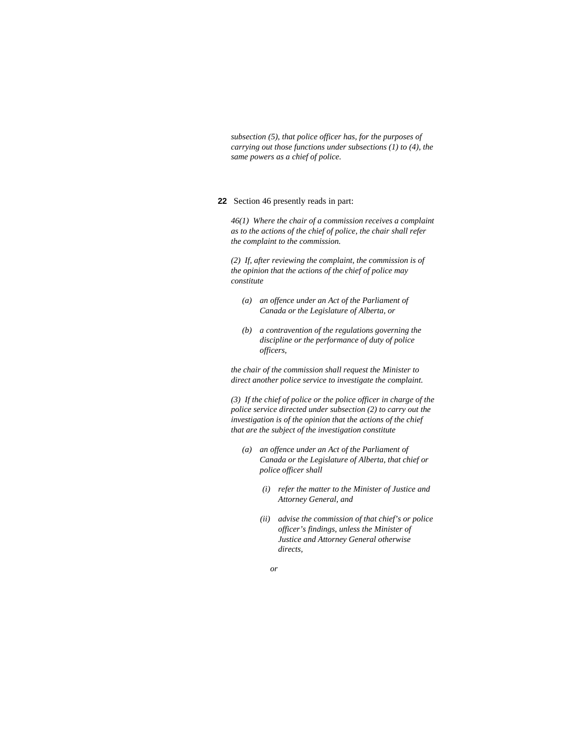*subsection (5), that police officer has, for the purposes of carrying out those functions under subsections (1) to (4), the same powers as a chief of police.* 

#### **22** Section 46 presently reads in part:

*46(1) Where the chair of a commission receives a complaint as to the actions of the chief of police, the chair shall refer the complaint to the commission.* 

*(2) If, after reviewing the complaint, the commission is of the opinion that the actions of the chief of police may constitute* 

- *(a) an offence under an Act of the Parliament of Canada or the Legislature of Alberta, or*
- *(b) a contravention of the regulations governing the discipline or the performance of duty of police officers,*

*the chair of the commission shall request the Minister to direct another police service to investigate the complaint.* 

*(3) If the chief of police or the police officer in charge of the police service directed under subsection (2) to carry out the investigation is of the opinion that the actions of the chief that are the subject of the investigation constitute* 

- *(a) an offence under an Act of the Parliament of Canada or the Legislature of Alberta, that chief or police officer shall* 
	- *(i) refer the matter to the Minister of Justice and Attorney General, and*
	- *(ii) advise the commission of that chief's or police officer's findings, unless the Minister of Justice and Attorney General otherwise directs,*
- *or*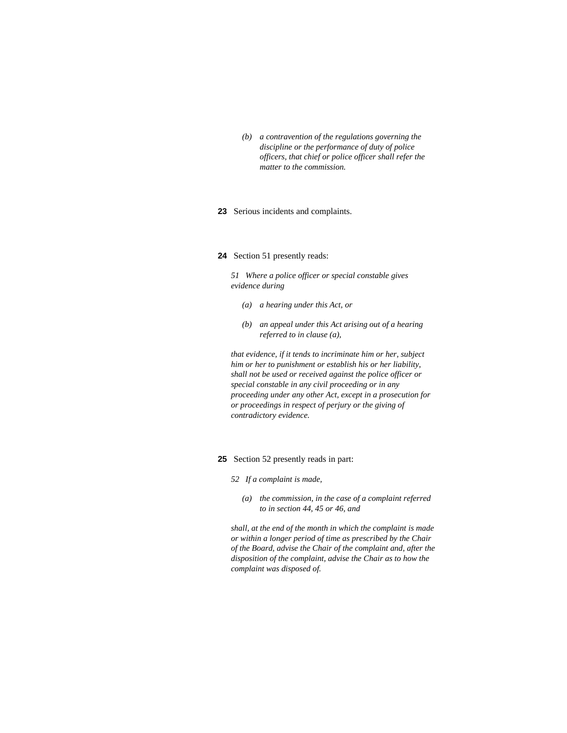*(b) a contravention of the regulations governing the discipline or the performance of duty of police officers, that chief or police officer shall refer the matter to the commission.* 

#### **23** Serious incidents and complaints.

## **24** Section 51 presently reads:

*51 Where a police officer or special constable gives evidence during* 

- *(a) a hearing under this Act, or*
- *(b) an appeal under this Act arising out of a hearing referred to in clause (a),*

*that evidence, if it tends to incriminate him or her, subject him or her to punishment or establish his or her liability, shall not be used or received against the police officer or special constable in any civil proceeding or in any proceeding under any other Act, except in a prosecution for or proceedings in respect of perjury or the giving of contradictory evidence.* 

- **25** Section 52 presently reads in part:
	- *52 If a complaint is made,* 
		- *(a) the commission, in the case of a complaint referred to in section 44, 45 or 46, and*

*shall, at the end of the month in which the complaint is made or within a longer period of time as prescribed by the Chair of the Board, advise the Chair of the complaint and, after the disposition of the complaint, advise the Chair as to how the complaint was disposed of.*